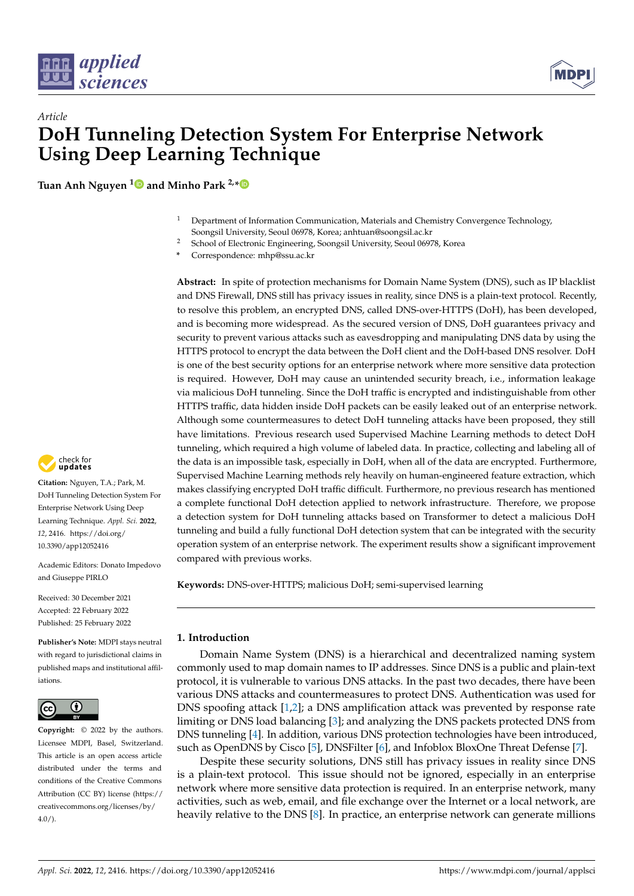



# *Article* **DoH Tunneling Detection System For Enterprise Network Using Deep Learning Technique**

**Tuan Anh Nguyen [1](https://orcid.org/0000-0002-7222-0446) and Minho Park 2,[\\*](https://orcid.org/0000-0003-3033-192X)**

- <sup>1</sup> Department of Information Communication, Materials and Chemistry Convergence Technology, Soongsil University, Seoul 06978, Korea; anhtuan@soongsil.ac.kr
- <sup>2</sup> School of Electronic Engineering, Soongsil University, Seoul 06978, Korea
- **\*** Correspondence: mhp@ssu.ac.kr

**Abstract:** In spite of protection mechanisms for Domain Name System (DNS), such as IP blacklist and DNS Firewall, DNS still has privacy issues in reality, since DNS is a plain-text protocol. Recently, to resolve this problem, an encrypted DNS, called DNS-over-HTTPS (DoH), has been developed, and is becoming more widespread. As the secured version of DNS, DoH guarantees privacy and security to prevent various attacks such as eavesdropping and manipulating DNS data by using the HTTPS protocol to encrypt the data between the DoH client and the DoH-based DNS resolver. DoH is one of the best security options for an enterprise network where more sensitive data protection is required. However, DoH may cause an unintended security breach, i.e., information leakage via malicious DoH tunneling. Since the DoH traffic is encrypted and indistinguishable from other HTTPS traffic, data hidden inside DoH packets can be easily leaked out of an enterprise network. Although some countermeasures to detect DoH tunneling attacks have been proposed, they still have limitations. Previous research used Supervised Machine Learning methods to detect DoH tunneling, which required a high volume of labeled data. In practice, collecting and labeling all of the data is an impossible task, especially in DoH, when all of the data are encrypted. Furthermore, Supervised Machine Learning methods rely heavily on human-engineered feature extraction, which makes classifying encrypted DoH traffic difficult. Furthermore, no previous research has mentioned a complete functional DoH detection applied to network infrastructure. Therefore, we propose a detection system for DoH tunneling attacks based on Transformer to detect a malicious DoH tunneling and build a fully functional DoH detection system that can be integrated with the security operation system of an enterprise network. The experiment results show a significant improvement compared with previous works.

**Keywords:** DNS-over-HTTPS; malicious DoH; semi-supervised learning

## **1. Introduction**

Domain Name System (DNS) is a hierarchical and decentralized naming system commonly used to map domain names to IP addresses. Since DNS is a public and plain-text protocol, it is vulnerable to various DNS attacks. In the past two decades, there have been various DNS attacks and countermeasures to protect DNS. Authentication was used for DNS spoofing attack [\[1,](#page-14-0)[2\]](#page-14-1); a DNS amplification attack was prevented by response rate limiting or DNS load balancing [\[3\]](#page-14-2); and analyzing the DNS packets protected DNS from DNS tunneling [\[4\]](#page-14-3). In addition, various DNS protection technologies have been introduced, such as OpenDNS by Cisco [\[5\]](#page-14-4), DNSFilter [\[6\]](#page-14-5), and Infoblox BloxOne Threat Defense [\[7\]](#page-14-6).

Despite these security solutions, DNS still has privacy issues in reality since DNS is a plain-text protocol. This issue should not be ignored, especially in an enterprise network where more sensitive data protection is required. In an enterprise network, many activities, such as web, email, and file exchange over the Internet or a local network, are heavily relative to the DNS [\[8\]](#page-14-7). In practice, an enterprise network can generate millions



**Citation:** Nguyen, T.A.; Park, M. DoH Tunneling Detection System For Enterprise Network Using Deep Learning Technique. *Appl. Sci.* **2022**, *12*, 2416. [https://doi.org/](https://doi.org/10.3390/app12052416) [10.3390/app12052416](https://doi.org/10.3390/app12052416)

Academic Editors: Donato Impedovo and Giuseppe PIRLO

Received: 30 December 2021 Accepted: 22 February 2022 Published: 25 February 2022

**Publisher's Note:** MDPI stays neutral with regard to jurisdictional claims in published maps and institutional affiliations.



**Copyright:** © 2022 by the authors. Licensee MDPI, Basel, Switzerland. This article is an open access article distributed under the terms and conditions of the Creative Commons Attribution (CC BY) license [\(https://](https://creativecommons.org/licenses/by/4.0/) [creativecommons.org/licenses/by/](https://creativecommons.org/licenses/by/4.0/)  $4.0/$ ).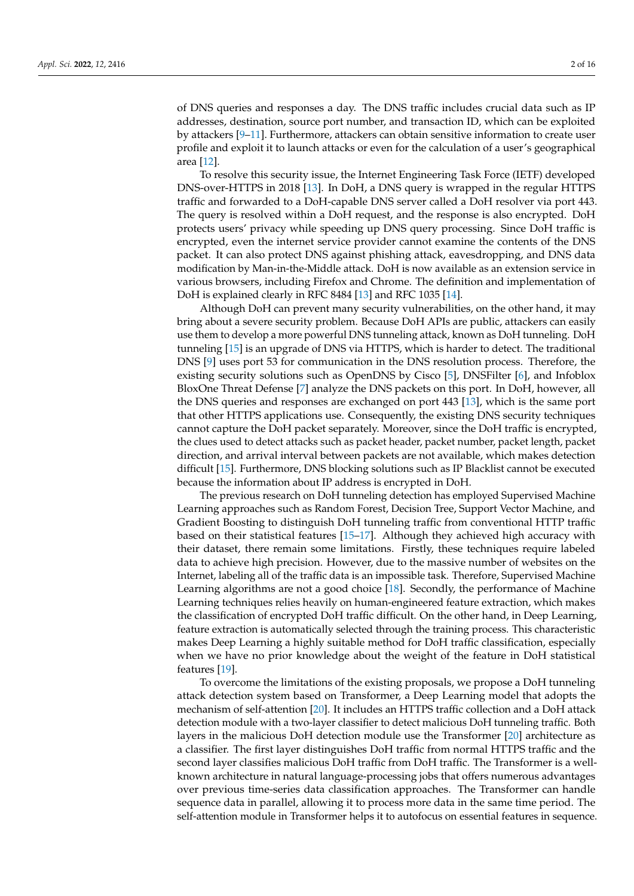of DNS queries and responses a day. The DNS traffic includes crucial data such as IP addresses, destination, source port number, and transaction ID, which can be exploited by attackers [\[9](#page-14-8)[–11\]](#page-14-9). Furthermore, attackers can obtain sensitive information to create user profile and exploit it to launch attacks or even for the calculation of a user's geographical area [\[12\]](#page-14-10).

To resolve this security issue, the Internet Engineering Task Force (IETF) developed DNS-over-HTTPS in 2018 [\[13\]](#page-14-11). In DoH, a DNS query is wrapped in the regular HTTPS traffic and forwarded to a DoH-capable DNS server called a DoH resolver via port 443. The query is resolved within a DoH request, and the response is also encrypted. DoH protects users' privacy while speeding up DNS query processing. Since DoH traffic is encrypted, even the internet service provider cannot examine the contents of the DNS packet. It can also protect DNS against phishing attack, eavesdropping, and DNS data modification by Man-in-the-Middle attack. DoH is now available as an extension service in various browsers, including Firefox and Chrome. The definition and implementation of DoH is explained clearly in RFC 8484 [\[13\]](#page-14-11) and RFC 1035 [\[14\]](#page-14-12).

Although DoH can prevent many security vulnerabilities, on the other hand, it may bring about a severe security problem. Because DoH APIs are public, attackers can easily use them to develop a more powerful DNS tunneling attack, known as DoH tunneling. DoH tunneling [\[15\]](#page-14-13) is an upgrade of DNS via HTTPS, which is harder to detect. The traditional DNS [\[9\]](#page-14-8) uses port 53 for communication in the DNS resolution process. Therefore, the existing security solutions such as OpenDNS by Cisco [\[5\]](#page-14-4), DNSFilter [\[6\]](#page-14-5), and Infoblox BloxOne Threat Defense [\[7\]](#page-14-6) analyze the DNS packets on this port. In DoH, however, all the DNS queries and responses are exchanged on port 443 [\[13\]](#page-14-11), which is the same port that other HTTPS applications use. Consequently, the existing DNS security techniques cannot capture the DoH packet separately. Moreover, since the DoH traffic is encrypted, the clues used to detect attacks such as packet header, packet number, packet length, packet direction, and arrival interval between packets are not available, which makes detection difficult [\[15\]](#page-14-13). Furthermore, DNS blocking solutions such as IP Blacklist cannot be executed because the information about IP address is encrypted in DoH.

The previous research on DoH tunneling detection has employed Supervised Machine Learning approaches such as Random Forest, Decision Tree, Support Vector Machine, and Gradient Boosting to distinguish DoH tunneling traffic from conventional HTTP traffic based on their statistical features [\[15–](#page-14-13)[17\]](#page-14-14). Although they achieved high accuracy with their dataset, there remain some limitations. Firstly, these techniques require labeled data to achieve high precision. However, due to the massive number of websites on the Internet, labeling all of the traffic data is an impossible task. Therefore, Supervised Machine Learning algorithms are not a good choice [\[18\]](#page-14-15). Secondly, the performance of Machine Learning techniques relies heavily on human-engineered feature extraction, which makes the classification of encrypted DoH traffic difficult. On the other hand, in Deep Learning, feature extraction is automatically selected through the training process. This characteristic makes Deep Learning a highly suitable method for DoH traffic classification, especially when we have no prior knowledge about the weight of the feature in DoH statistical features [\[19\]](#page-14-16).

To overcome the limitations of the existing proposals, we propose a DoH tunneling attack detection system based on Transformer, a Deep Learning model that adopts the mechanism of self-attention [\[20\]](#page-14-17). It includes an HTTPS traffic collection and a DoH attack detection module with a two-layer classifier to detect malicious DoH tunneling traffic. Both layers in the malicious DoH detection module use the Transformer [\[20\]](#page-14-17) architecture as a classifier. The first layer distinguishes DoH traffic from normal HTTPS traffic and the second layer classifies malicious DoH traffic from DoH traffic. The Transformer is a wellknown architecture in natural language-processing jobs that offers numerous advantages over previous time-series data classification approaches. The Transformer can handle sequence data in parallel, allowing it to process more data in the same time period. The self-attention module in Transformer helps it to autofocus on essential features in sequence.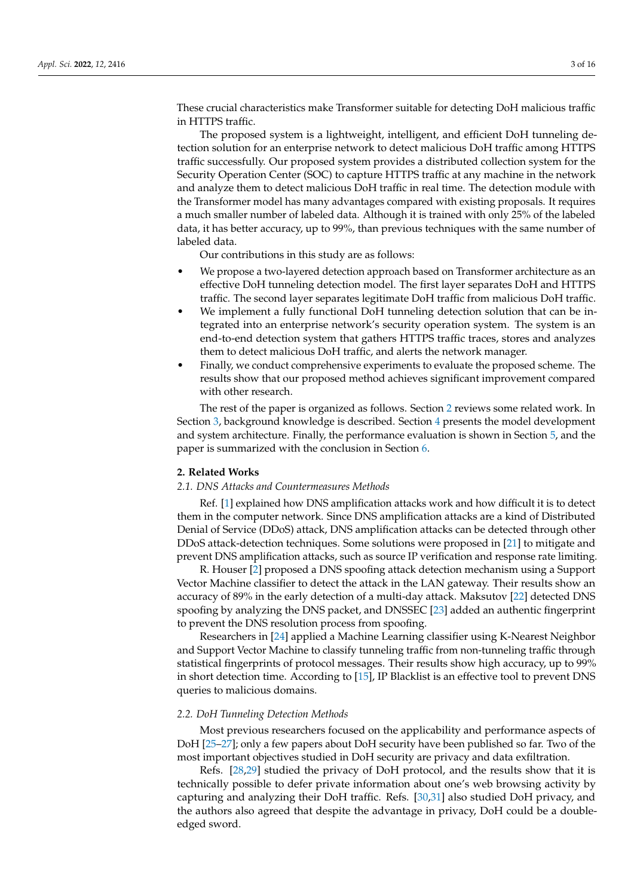These crucial characteristics make Transformer suitable for detecting DoH malicious traffic in HTTPS traffic.

The proposed system is a lightweight, intelligent, and efficient DoH tunneling detection solution for an enterprise network to detect malicious DoH traffic among HTTPS traffic successfully. Our proposed system provides a distributed collection system for the Security Operation Center (SOC) to capture HTTPS traffic at any machine in the network and analyze them to detect malicious DoH traffic in real time. The detection module with the Transformer model has many advantages compared with existing proposals. It requires a much smaller number of labeled data. Although it is trained with only 25% of the labeled data, it has better accuracy, up to 99%, than previous techniques with the same number of labeled data.

Our contributions in this study are as follows:

- We propose a two-layered detection approach based on Transformer architecture as an effective DoH tunneling detection model. The first layer separates DoH and HTTPS traffic. The second layer separates legitimate DoH traffic from malicious DoH traffic.
- We implement a fully functional DoH tunneling detection solution that can be integrated into an enterprise network's security operation system. The system is an end-to-end detection system that gathers HTTPS traffic traces, stores and analyzes them to detect malicious DoH traffic, and alerts the network manager.
- Finally, we conduct comprehensive experiments to evaluate the proposed scheme. The results show that our proposed method achieves significant improvement compared with other research.

The rest of the paper is organized as follows. Section [2](#page-2-0) reviews some related work. In Section [3,](#page-3-0) background knowledge is described. Section [4](#page-8-0) presents the model development and system architecture. Finally, the performance evaluation is shown in Section [5,](#page-11-0) and the paper is summarized with the conclusion in Section [6.](#page-13-0)

## <span id="page-2-0"></span>**2. Related Works**

## *2.1. DNS Attacks and Countermeasures Methods*

Ref. [\[1\]](#page-14-0) explained how DNS amplification attacks work and how difficult it is to detect them in the computer network. Since DNS amplification attacks are a kind of Distributed Denial of Service (DDoS) attack, DNS amplification attacks can be detected through other DDoS attack-detection techniques. Some solutions were proposed in [\[21\]](#page-14-18) to mitigate and prevent DNS amplification attacks, such as source IP verification and response rate limiting.

R. Houser [\[2\]](#page-14-1) proposed a DNS spoofing attack detection mechanism using a Support Vector Machine classifier to detect the attack in the LAN gateway. Their results show an accuracy of 89% in the early detection of a multi-day attack. Maksutov [\[22\]](#page-14-19) detected DNS spoofing by analyzing the DNS packet, and DNSSEC [\[23\]](#page-14-20) added an authentic fingerprint to prevent the DNS resolution process from spoofing.

Researchers in [\[24\]](#page-14-21) applied a Machine Learning classifier using K-Nearest Neighbor and Support Vector Machine to classify tunneling traffic from non-tunneling traffic through statistical fingerprints of protocol messages. Their results show high accuracy, up to 99% in short detection time. According to [\[15\]](#page-14-13), IP Blacklist is an effective tool to prevent DNS queries to malicious domains.

## *2.2. DoH Tunneling Detection Methods*

Most previous researchers focused on the applicability and performance aspects of DoH [\[25–](#page-14-22)[27\]](#page-15-0); only a few papers about DoH security have been published so far. Two of the most important objectives studied in DoH security are privacy and data exfiltration.

Refs. [\[28](#page-15-1)[,29\]](#page-15-2) studied the privacy of DoH protocol, and the results show that it is technically possible to defer private information about one's web browsing activity by capturing and analyzing their DoH traffic. Refs. [\[30,](#page-15-3)[31\]](#page-15-4) also studied DoH privacy, and the authors also agreed that despite the advantage in privacy, DoH could be a doubleedged sword.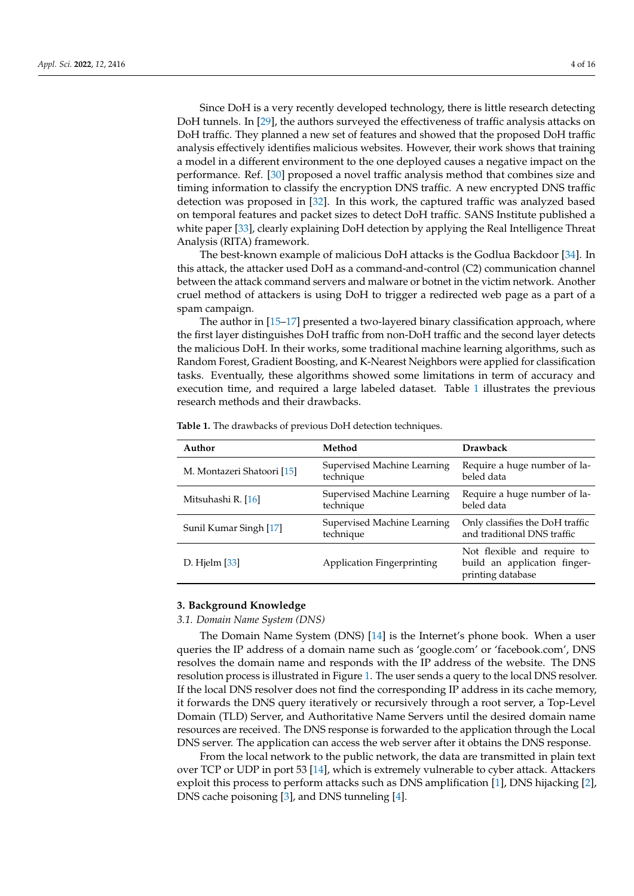Since DoH is a very recently developed technology, there is little research detecting DoH tunnels. In [\[29\]](#page-15-2), the authors surveyed the effectiveness of traffic analysis attacks on DoH traffic. They planned a new set of features and showed that the proposed DoH traffic analysis effectively identifies malicious websites. However, their work shows that training a model in a different environment to the one deployed causes a negative impact on the performance. Ref. [\[30\]](#page-15-3) proposed a novel traffic analysis method that combines size and timing information to classify the encryption DNS traffic. A new encrypted DNS traffic detection was proposed in [\[32\]](#page-15-5). In this work, the captured traffic was analyzed based on temporal features and packet sizes to detect DoH traffic. SANS Institute published a white paper [\[33\]](#page-15-6), clearly explaining DoH detection by applying the Real Intelligence Threat Analysis (RITA) framework.

The best-known example of malicious DoH attacks is the Godlua Backdoor [\[34\]](#page-15-7). In this attack, the attacker used DoH as a command-and-control (C2) communication channel between the attack command servers and malware or botnet in the victim network. Another cruel method of attackers is using DoH to trigger a redirected web page as a part of a spam campaign.

The author in [\[15–](#page-14-13)[17\]](#page-14-14) presented a two-layered binary classification approach, where the first layer distinguishes DoH traffic from non-DoH traffic and the second layer detects the malicious DoH. In their works, some traditional machine learning algorithms, such as Random Forest, Gradient Boosting, and K-Nearest Neighbors were applied for classification tasks. Eventually, these algorithms showed some limitations in term of accuracy and execution time, and required a large labeled dataset. Table [1](#page-3-1) illustrates the previous research methods and their drawbacks.

| Author                     | Method                                   | <b>Drawback</b>                                                                  |  |
|----------------------------|------------------------------------------|----------------------------------------------------------------------------------|--|
| M. Montazeri Shatoori [15] | Supervised Machine Learning<br>technique | Require a huge number of la-<br>beled data                                       |  |
| Mitsuhashi R. [16]         | Supervised Machine Learning<br>technique | Require a huge number of la-<br>beled data                                       |  |
| Sunil Kumar Singh [17]     | Supervised Machine Learning<br>technique | Only classifies the DoH traffic<br>and traditional DNS traffic                   |  |
| D. Hjelm $[33]$            | <b>Application Fingerprinting</b>        | Not flexible and require to<br>build an application finger-<br>printing database |  |
|                            |                                          |                                                                                  |  |

<span id="page-3-1"></span>**Table 1.** The drawbacks of previous DoH detection techniques.

#### <span id="page-3-0"></span>**3. Background Knowledge**

#### *3.1. Domain Name System (DNS)*

The Domain Name System (DNS) [\[14\]](#page-14-12) is the Internet's phone book. When a user queries the IP address of a domain name such as 'google.com' or 'facebook.com', DNS resolves the domain name and responds with the IP address of the website. The DNS resolution process is illustrated in Figure [1.](#page-4-0) The user sends a query to the local DNS resolver. If the local DNS resolver does not find the corresponding IP address in its cache memory, it forwards the DNS query iteratively or recursively through a root server, a Top-Level Domain (TLD) Server, and Authoritative Name Servers until the desired domain name resources are received. The DNS response is forwarded to the application through the Local DNS server. The application can access the web server after it obtains the DNS response.

From the local network to the public network, the data are transmitted in plain text over TCP or UDP in port 53 [\[14\]](#page-14-12), which is extremely vulnerable to cyber attack. Attackers exploit this process to perform attacks such as DNS amplification [\[1\]](#page-14-0), DNS hijacking [\[2\]](#page-14-1), DNS cache poisoning [\[3\]](#page-14-2), and DNS tunneling [\[4\]](#page-14-3).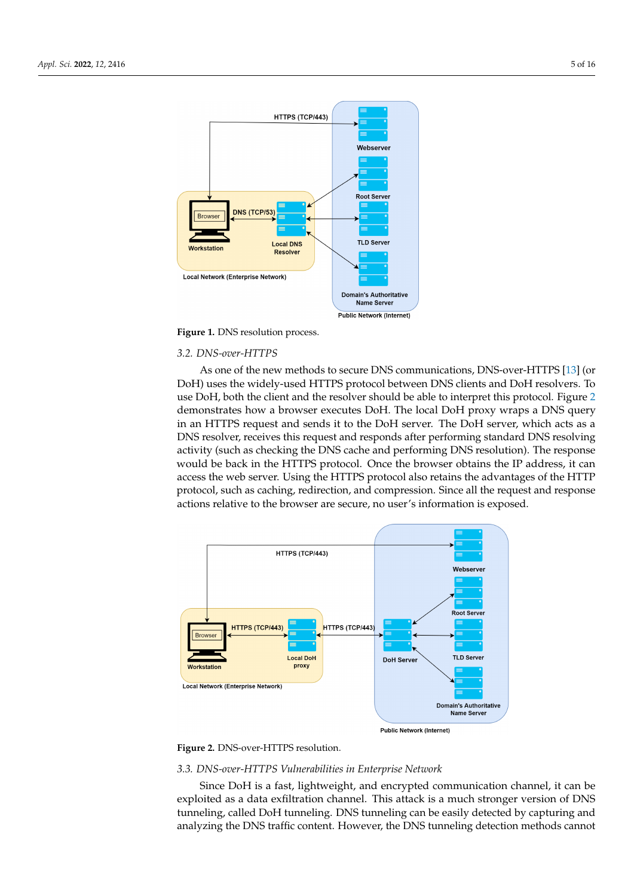<span id="page-4-0"></span>

**Figure 1.** DNS resolution process.

### *3.2. DNS-over-HTTPS*

As one of the new methods to secure DNS communications, DNS-over-HTTPS [\[13\]](#page-14-11) (or DoH) uses the widely-used HTTPS protocol between DNS clients and DoH resolvers. To use DoH, both the client and the resolver should be able to interpret this protocol. Figure [2](#page-4-1) demonstrates how a browser executes DoH. The local DoH proxy wraps a DNS query in an HTTPS request and sends it to the DoH server. The DoH server, which acts as a DNS resolver, receives this request and responds after performing standard DNS resolving activity (such as checking the DNS cache and performing DNS resolution). The response would be back in the HTTPS protocol. Once the browser obtains the IP address, it can access the web server. Using the HTTPS protocol also retains the advantages of the HTTP protocol, such as caching, redirection, and compression. Since all the request and response actions relative to the browser are secure, no user's information is exposed.

<span id="page-4-1"></span>

**Figure 2.** DNS-over-HTTPS resolution.

#### *3.3. DNS-over-HTTPS Vulnerabilities in Enterprise Network*

Since DoH is a fast, lightweight, and encrypted communication channel, it can be exploited as a data exfiltration channel. This attack is a much stronger version of DNS tunneling, called DoH tunneling. DNS tunneling can be easily detected by capturing and analyzing the DNS traffic content. However, the DNS tunneling detection methods cannot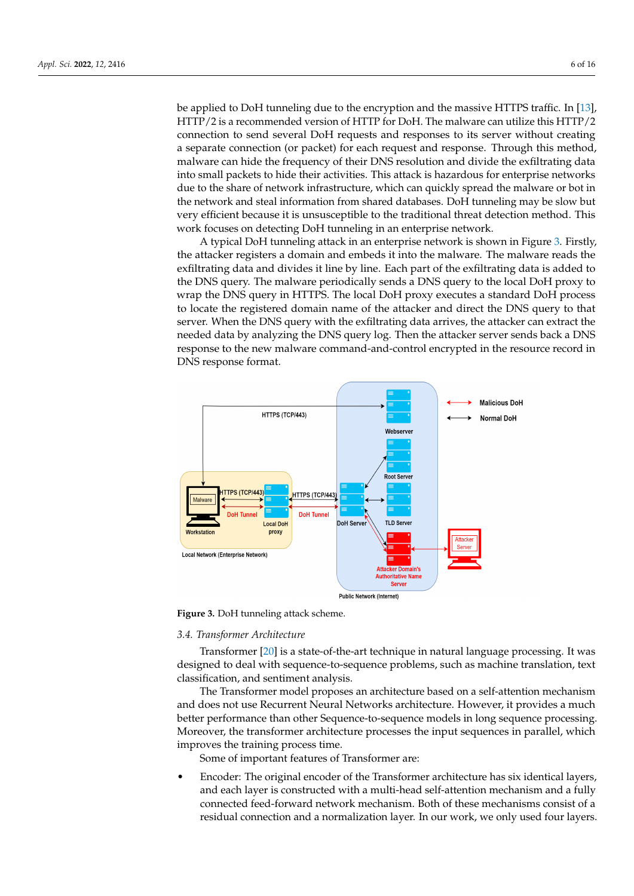be applied to DoH tunneling due to the encryption and the massive HTTPS traffic. In [\[13\]](#page-14-11), HTTP/2 is a recommended version of HTTP for DoH. The malware can utilize this HTTP/2 connection to send several DoH requests and responses to its server without creating a separate connection (or packet) for each request and response. Through this method, malware can hide the frequency of their DNS resolution and divide the exfiltrating data into small packets to hide their activities. This attack is hazardous for enterprise networks due to the share of network infrastructure, which can quickly spread the malware or bot in the network and steal information from shared databases. DoH tunneling may be slow but very efficient because it is unsusceptible to the traditional threat detection method. This work focuses on detecting DoH tunneling in an enterprise network.

A typical DoH tunneling attack in an enterprise network is shown in Figure [3.](#page-5-0) Firstly, the attacker registers a domain and embeds it into the malware. The malware reads the exfiltrating data and divides it line by line. Each part of the exfiltrating data is added to the DNS query. The malware periodically sends a DNS query to the local DoH proxy to wrap the DNS query in HTTPS. The local DoH proxy executes a standard DoH process to locate the registered domain name of the attacker and direct the DNS query to that server. When the DNS query with the exfiltrating data arrives, the attacker can extract the needed data by analyzing the DNS query log. Then the attacker server sends back a DNS response to the new malware command-and-control encrypted in the resource record in DNS response format.

<span id="page-5-0"></span>

**Figure 3.** DoH tunneling attack scheme.

#### *3.4. Transformer Architecture*

Transformer [\[20\]](#page-14-17) is a state-of-the-art technique in natural language processing. It was designed to deal with sequence-to-sequence problems, such as machine translation, text classification, and sentiment analysis.

The Transformer model proposes an architecture based on a self-attention mechanism and does not use Recurrent Neural Networks architecture. However, it provides a much better performance than other Sequence-to-sequence models in long sequence processing. Moreover, the transformer architecture processes the input sequences in parallel, which improves the training process time.

Some of important features of Transformer are:

• Encoder: The original encoder of the Transformer architecture has six identical layers, and each layer is constructed with a multi-head self-attention mechanism and a fully connected feed-forward network mechanism. Both of these mechanisms consist of a residual connection and a normalization layer. In our work, we only used four layers.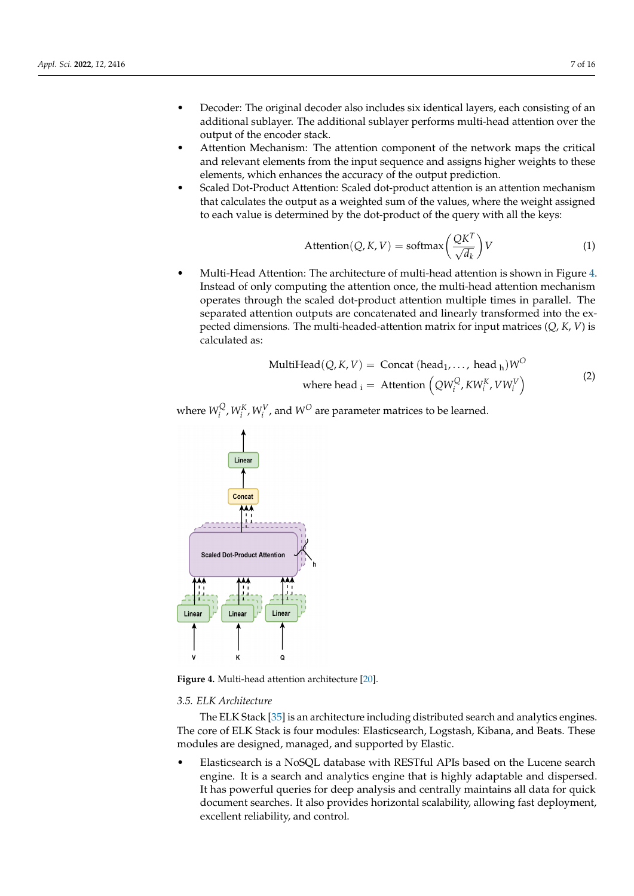- Decoder: The original decoder also includes six identical layers, each consisting of an additional sublayer. The additional sublayer performs multi-head attention over the output of the encoder stack.
- Attention Mechanism: The attention component of the network maps the critical and relevant elements from the input sequence and assigns higher weights to these elements, which enhances the accuracy of the output prediction.
- Scaled Dot-Product Attention: Scaled dot-product attention is an attention mechanism that calculates the output as a weighted sum of the values, where the weight assigned to each value is determined by the dot-product of the query with all the keys:

$$
Attention(Q, K, V) = softmax\left(\frac{QK^{T}}{\sqrt{d_k}}\right)V
$$
\n(1)

• Multi-Head Attention: The architecture of multi-head attention is shown in Figure [4.](#page-6-0) Instead of only computing the attention once, the multi-head attention mechanism operates through the scaled dot-product attention multiple times in parallel. The separated attention outputs are concatenated and linearly transformed into the expected dimensions. The multi-headed-attention matrix for input matrices (*Q*, *K*, *V*) is calculated as:

$$
\text{MultiHead}(Q, K, V) = \text{Concat}(\text{head}_1, ..., \text{head}_h)W^O
$$
\n
$$
\text{where head}_i = \text{Attention}\left(QW_i^Q, KW_i^K, VW_i^V\right) \tag{2}
$$

where  $W_i^{\rm Q}$  $W_i^Q$ ,  $W_i^K$ ,  $W_i^V$ , and  $W^O$  are parameter matrices to be learned.

<span id="page-6-0"></span>

**Figure 4.** Multi-head attention architecture [\[20\]](#page-14-17).

#### *3.5. ELK Architecture*

The ELK Stack [\[35\]](#page-15-8) is an architecture including distributed search and analytics engines. The core of ELK Stack is four modules: Elasticsearch, Logstash, Kibana, and Beats. These modules are designed, managed, and supported by Elastic.

• Elasticsearch is a NoSQL database with RESTful APIs based on the Lucene search engine. It is a search and analytics engine that is highly adaptable and dispersed. It has powerful queries for deep analysis and centrally maintains all data for quick document searches. It also provides horizontal scalability, allowing fast deployment, excellent reliability, and control.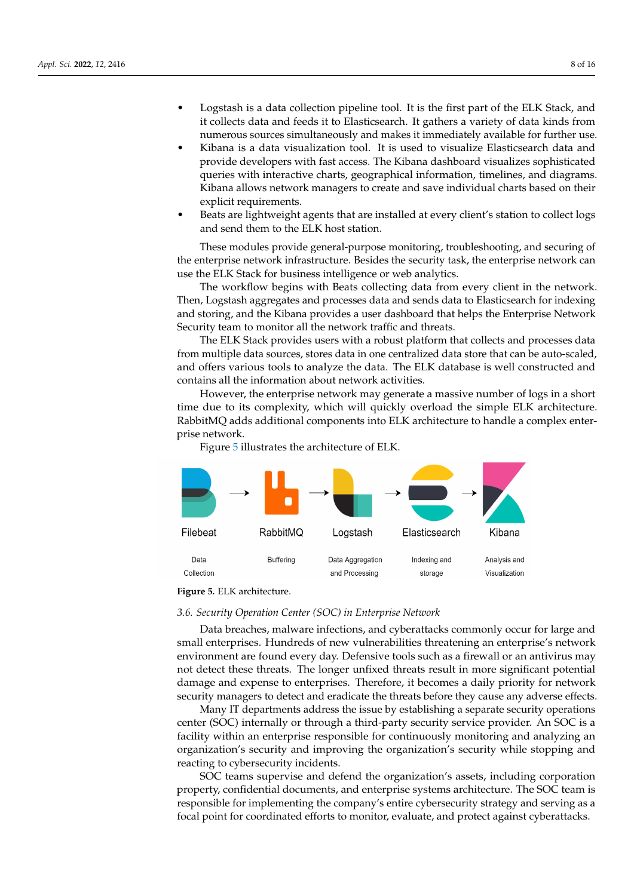- Logstash is a data collection pipeline tool. It is the first part of the ELK Stack, and it collects data and feeds it to Elasticsearch. It gathers a variety of data kinds from numerous sources simultaneously and makes it immediately available for further use.
- Kibana is a data visualization tool. It is used to visualize Elasticsearch data and provide developers with fast access. The Kibana dashboard visualizes sophisticated queries with interactive charts, geographical information, timelines, and diagrams. Kibana allows network managers to create and save individual charts based on their explicit requirements.
- Beats are lightweight agents that are installed at every client's station to collect logs and send them to the ELK host station.

These modules provide general-purpose monitoring, troubleshooting, and securing of the enterprise network infrastructure. Besides the security task, the enterprise network can use the ELK Stack for business intelligence or web analytics.

The workflow begins with Beats collecting data from every client in the network. Then, Logstash aggregates and processes data and sends data to Elasticsearch for indexing and storing, and the Kibana provides a user dashboard that helps the Enterprise Network Security team to monitor all the network traffic and threats.

The ELK Stack provides users with a robust platform that collects and processes data from multiple data sources, stores data in one centralized data store that can be auto-scaled, and offers various tools to analyze the data. The ELK database is well constructed and contains all the information about network activities.

However, the enterprise network may generate a massive number of logs in a short time due to its complexity, which will quickly overload the simple ELK architecture. RabbitMQ adds additional components into ELK architecture to handle a complex enterprise network.

Figure [5](#page-7-0) illustrates the architecture of ELK.

<span id="page-7-0"></span>

**Figure 5.** ELK architecture.

#### *3.6. Security Operation Center (SOC) in Enterprise Network*

Data breaches, malware infections, and cyberattacks commonly occur for large and small enterprises. Hundreds of new vulnerabilities threatening an enterprise's network environment are found every day. Defensive tools such as a firewall or an antivirus may not detect these threats. The longer unfixed threats result in more significant potential damage and expense to enterprises. Therefore, it becomes a daily priority for network security managers to detect and eradicate the threats before they cause any adverse effects.

Many IT departments address the issue by establishing a separate security operations center (SOC) internally or through a third-party security service provider. An SOC is a facility within an enterprise responsible for continuously monitoring and analyzing an organization's security and improving the organization's security while stopping and reacting to cybersecurity incidents.

SOC teams supervise and defend the organization's assets, including corporation property, confidential documents, and enterprise systems architecture. The SOC team is responsible for implementing the company's entire cybersecurity strategy and serving as a focal point for coordinated efforts to monitor, evaluate, and protect against cyberattacks.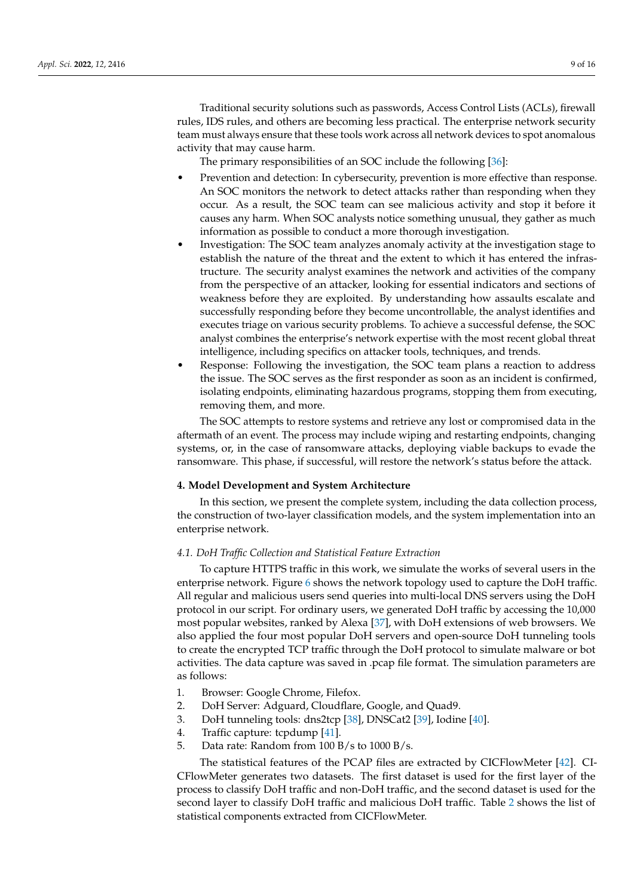Traditional security solutions such as passwords, Access Control Lists (ACLs), firewall rules, IDS rules, and others are becoming less practical. The enterprise network security team must always ensure that these tools work across all network devices to spot anomalous activity that may cause harm.

The primary responsibilities of an SOC include the following [\[36\]](#page-15-9):

- Prevention and detection: In cybersecurity, prevention is more effective than response. An SOC monitors the network to detect attacks rather than responding when they occur. As a result, the SOC team can see malicious activity and stop it before it causes any harm. When SOC analysts notice something unusual, they gather as much information as possible to conduct a more thorough investigation.
- Investigation: The SOC team analyzes anomaly activity at the investigation stage to establish the nature of the threat and the extent to which it has entered the infrastructure. The security analyst examines the network and activities of the company from the perspective of an attacker, looking for essential indicators and sections of weakness before they are exploited. By understanding how assaults escalate and successfully responding before they become uncontrollable, the analyst identifies and executes triage on various security problems. To achieve a successful defense, the SOC analyst combines the enterprise's network expertise with the most recent global threat intelligence, including specifics on attacker tools, techniques, and trends.
- Response: Following the investigation, the SOC team plans a reaction to address the issue. The SOC serves as the first responder as soon as an incident is confirmed, isolating endpoints, eliminating hazardous programs, stopping them from executing, removing them, and more.

The SOC attempts to restore systems and retrieve any lost or compromised data in the aftermath of an event. The process may include wiping and restarting endpoints, changing systems, or, in the case of ransomware attacks, deploying viable backups to evade the ransomware. This phase, if successful, will restore the network's status before the attack.

## <span id="page-8-0"></span>**4. Model Development and System Architecture**

In this section, we present the complete system, including the data collection process, the construction of two-layer classification models, and the system implementation into an enterprise network.

# *4.1. DoH Traffic Collection and Statistical Feature Extraction*

To capture HTTPS traffic in this work, we simulate the works of several users in the enterprise network. Figure [6](#page-9-0) shows the network topology used to capture the DoH traffic. All regular and malicious users send queries into multi-local DNS servers using the DoH protocol in our script. For ordinary users, we generated DoH traffic by accessing the 10,000 most popular websites, ranked by Alexa [\[37\]](#page-15-10), with DoH extensions of web browsers. We also applied the four most popular DoH servers and open-source DoH tunneling tools to create the encrypted TCP traffic through the DoH protocol to simulate malware or bot activities. The data capture was saved in .pcap file format. The simulation parameters are as follows:

- 1. Browser: Google Chrome, Filefox.
- 2. DoH Server: Adguard, Cloudflare, Google, and Quad9.
- 3. DoH tunneling tools: dns2tcp [\[38\]](#page-15-11), DNSCat2 [\[39\]](#page-15-12), Iodine [\[40\]](#page-15-13).
- 4. Traffic capture: tcpdump [\[41\]](#page-15-14).
- 5. Data rate: Random from 100 B/s to 1000 B/s.

The statistical features of the PCAP files are extracted by CICFlowMeter [\[42\]](#page-15-15). CI-CFlowMeter generates two datasets. The first dataset is used for the first layer of the process to classify DoH traffic and non-DoH traffic, and the second dataset is used for the second layer to classify DoH traffic and malicious DoH traffic. Table [2](#page-9-1) shows the list of statistical components extracted from CICFlowMeter.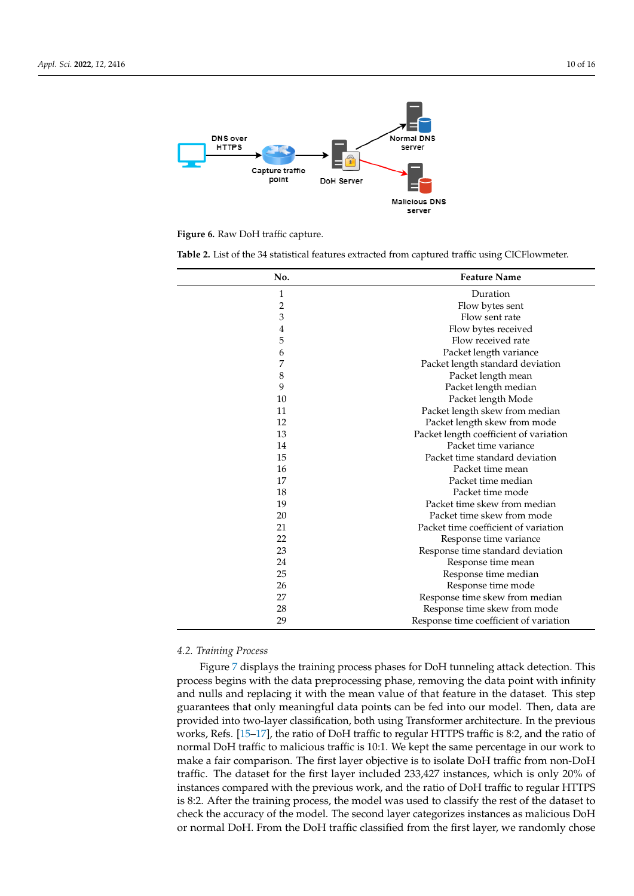<span id="page-9-0"></span>

**Figure 6.** Raw DoH traffic capture.

<span id="page-9-1"></span>**Table 2.** List of the 34 statistical features extracted from captured traffic using CICFlowmeter.

| No.            | <b>Feature Name</b>                    |  |
|----------------|----------------------------------------|--|
| 1              | Duration                               |  |
| $\overline{2}$ | Flow bytes sent                        |  |
| 3              | Flow sent rate                         |  |
| 4              | Flow bytes received                    |  |
| 5              | Flow received rate                     |  |
| 6              | Packet length variance                 |  |
| 7              | Packet length standard deviation       |  |
| 8              | Packet length mean                     |  |
| 9              | Packet length median                   |  |
| 10             | Packet length Mode                     |  |
| 11             | Packet length skew from median         |  |
| 12             | Packet length skew from mode           |  |
| 13             | Packet length coefficient of variation |  |
| 14             | Packet time variance                   |  |
| 15             | Packet time standard deviation         |  |
| 16             | Packet time mean                       |  |
| 17             | Packet time median                     |  |
| 18             | Packet time mode                       |  |
| 19             | Packet time skew from median           |  |
| 20             | Packet time skew from mode             |  |
| 21             | Packet time coefficient of variation   |  |
| 22             | Response time variance                 |  |
| 23             | Response time standard deviation       |  |
| 24             | Response time mean                     |  |
| 25             | Response time median                   |  |
| 26             | Response time mode                     |  |
| 27             | Response time skew from median         |  |
| 28             | Response time skew from mode           |  |
| 29             | Response time coefficient of variation |  |

## *4.2. Training Process*

Figure [7](#page-10-0) displays the training process phases for DoH tunneling attack detection. This process begins with the data preprocessing phase, removing the data point with infinity and nulls and replacing it with the mean value of that feature in the dataset. This step guarantees that only meaningful data points can be fed into our model. Then, data are provided into two-layer classification, both using Transformer architecture. In the previous works, Refs. [\[15](#page-14-13)[–17\]](#page-14-14), the ratio of DoH traffic to regular HTTPS traffic is 8:2, and the ratio of normal DoH traffic to malicious traffic is 10:1. We kept the same percentage in our work to make a fair comparison. The first layer objective is to isolate DoH traffic from non-DoH traffic. The dataset for the first layer included 233,427 instances, which is only 20% of instances compared with the previous work, and the ratio of DoH traffic to regular HTTPS is 8:2. After the training process, the model was used to classify the rest of the dataset to check the accuracy of the model. The second layer categorizes instances as malicious DoH or normal DoH. From the DoH traffic classified from the first layer, we randomly chose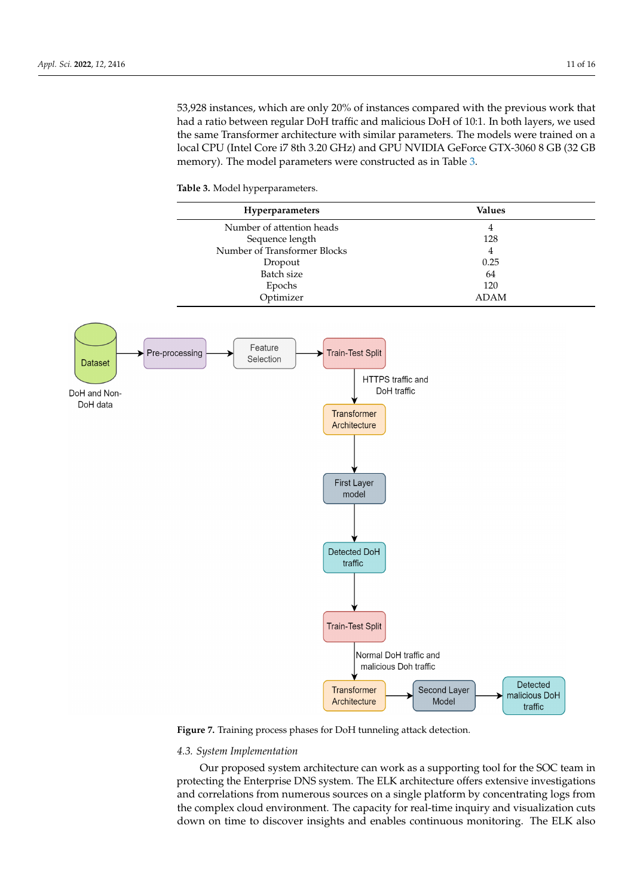53,928 instances, which are only 20% of instances compared with the previous work that had a ratio between regular DoH traffic and malicious DoH of 10:1. In both layers, we used the same Transformer architecture with similar parameters. The models were trained on a local CPU (Intel Core i7 8th 3.20 GHz) and GPU NVIDIA GeForce GTX-3060 8 GB (32 GB memory). The model parameters were constructed as in Table [3.](#page-10-1)

<span id="page-10-1"></span><span id="page-10-0"></span>



**Figure 7.** Training process phases for DoH tunneling attack detection.

## *4.3. System Implementation*

Our proposed system architecture can work as a supporting tool for the SOC team in protecting the Enterprise DNS system. The ELK architecture offers extensive investigations and correlations from numerous sources on a single platform by concentrating logs from the complex cloud environment. The capacity for real-time inquiry and visualization cuts down on time to discover insights and enables continuous monitoring. The ELK also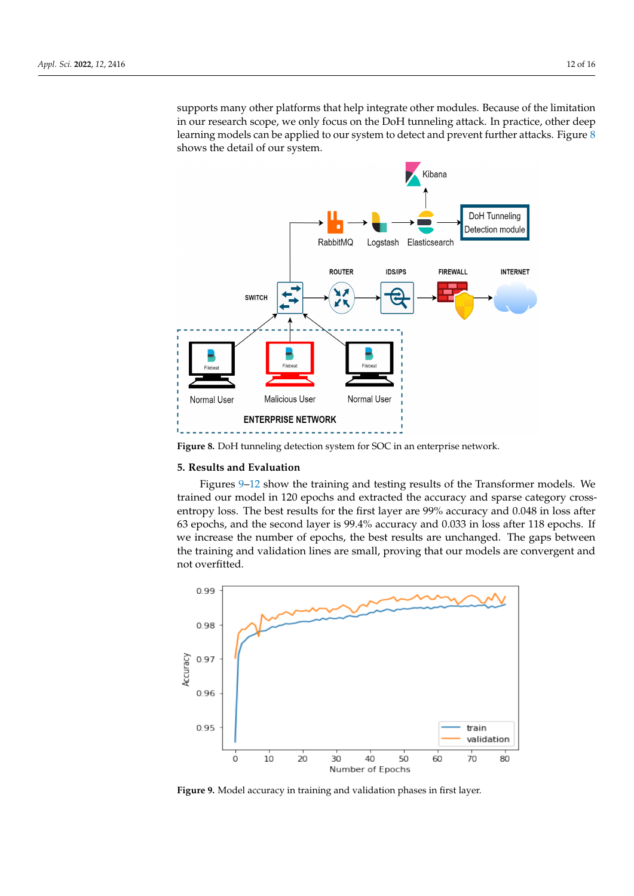supports many other platforms that help integrate other modules. Because of the limitation in our research scope, we only focus on the DoH tunneling attack. In practice, other deep learning models can be applied to our system to detect and prevent further attacks. Figure [8](#page-11-1) shows the detail of our system.

<span id="page-11-1"></span>

**Figure 8.** DoH tunneling detection system for SOC in an enterprise network.

## <span id="page-11-0"></span>**5. Results and Evaluation**

Figures [9](#page-11-2)[–12](#page-12-0) show the training and testing results of the Transformer models. We trained our model in 120 epochs and extracted the accuracy and sparse category crossentropy loss. The best results for the first layer are 99% accuracy and 0.048 in loss after 63 epochs, and the second layer is 99.4% accuracy and 0.033 in loss after 118 epochs. If we increase the number of epochs, the best results are unchanged. The gaps between the training and validation lines are small, proving that our models are convergent and not overfitted.

<span id="page-11-2"></span>

**Figure 9.** Model accuracy in training and validation phases in first layer.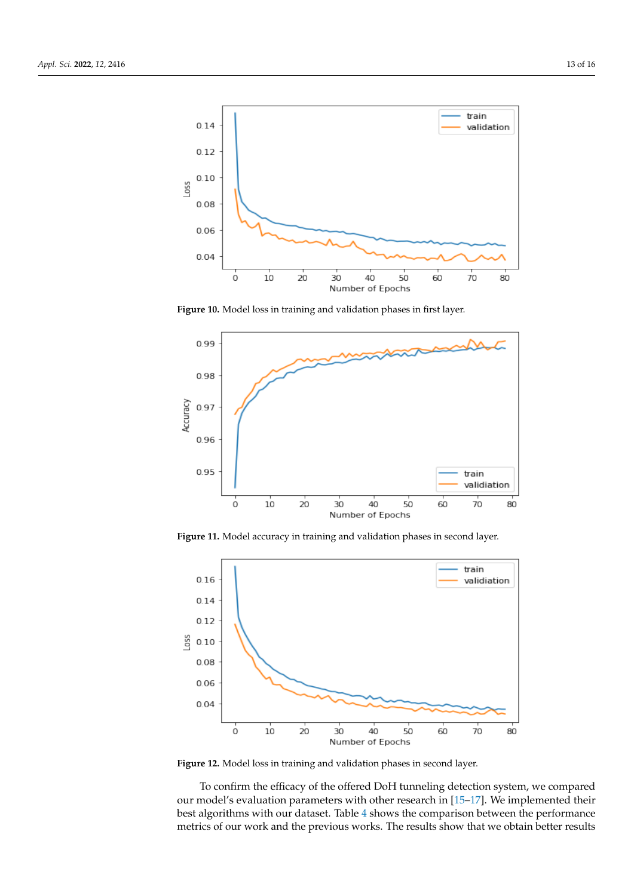

**Figure 10.** Model loss in training and validation phases in first layer.



**Figure 11.** Model accuracy in training and validation phases in second layer.

<span id="page-12-0"></span>

**Figure 12.** Model loss in training and validation phases in second layer.

To confirm the efficacy of the offered DoH tunneling detection system, we compared our model's evaluation parameters with other research in [\[15–](#page-14-13)[17\]](#page-14-14). We implemented their best algorithms with our dataset. Table [4](#page-13-1) shows the comparison between the performance metrics of our work and the previous works. The results show that we obtain better results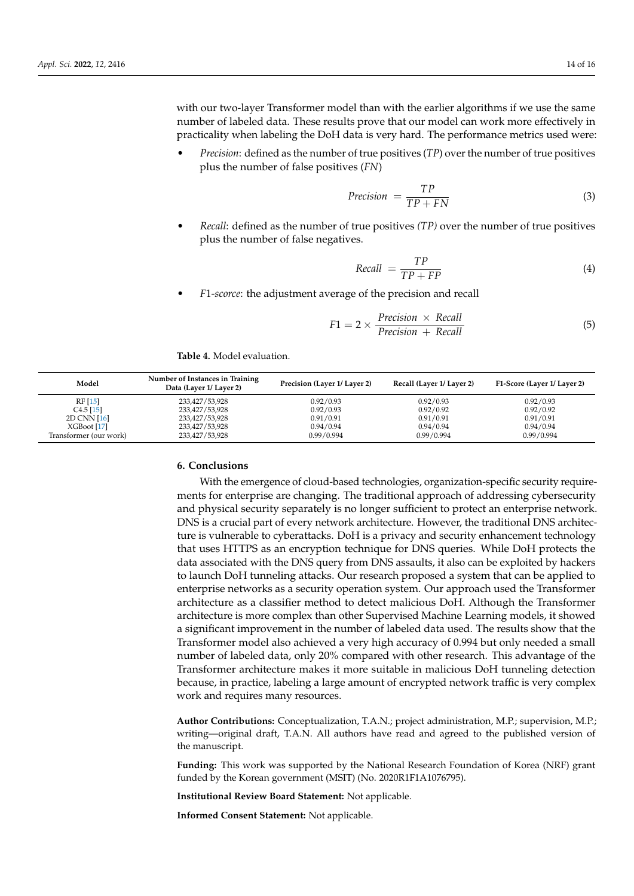with our two-layer Transformer model than with the earlier algorithms if we use the same number of labeled data. These results prove that our model can work more effectively in practicality when labeling the DoH data is very hard. The performance metrics used were:

• *Precision*: defined as the number of true positives (*TP*) over the number of true positives plus the number of false positives (*FN*)

$$
Precision = \frac{TP}{TP + FN} \tag{3}
$$

• *Recall*: defined as the number of true positives *(TP)* over the number of true positives plus the number of false negatives.

$$
Recall = \frac{TP}{TP + FP}
$$
 (4)

• *F*1-*scorce*: the adjustment average of the precision and recall

$$
F1 = 2 \times \frac{Precision \times Recall}{Precision + Recall}
$$
 (5)

<span id="page-13-1"></span>**Table 4.** Model evaluation.

| Model                  | Number of Instances in Training<br>Data (Layer 1/ Layer 2) | Precision (Layer 1/ Layer 2) | Recall (Layer 1/ Layer 2) | F1-Score (Layer 1/ Layer 2) |
|------------------------|------------------------------------------------------------|------------------------------|---------------------------|-----------------------------|
| RF [15]                | 233,427/53,928                                             | 0.92/0.93                    | 0.92/0.93                 | 0.92/0.93                   |
| $C4.5$ [15]            | 233,427/53,928                                             | 0.92/0.93                    | 0.92/0.92                 | 0.92/0.92                   |
| 2D CNN [16]            | 233,427/53,928                                             | 0.91/0.91                    | 0.91/0.91                 | 0.91/0.91                   |
| XGfoot [17]            | 233,427/53,928                                             | 0.94/0.94                    | 0.94/0.94                 | 0.94/0.94                   |
| Transformer (our work) | 233,427/53,928                                             | 0.99/0.994                   | 0.99/0.994                | 0.99/0.994                  |

# <span id="page-13-0"></span>**6. Conclusions**

With the emergence of cloud-based technologies, organization-specific security requirements for enterprise are changing. The traditional approach of addressing cybersecurity and physical security separately is no longer sufficient to protect an enterprise network. DNS is a crucial part of every network architecture. However, the traditional DNS architecture is vulnerable to cyberattacks. DoH is a privacy and security enhancement technology that uses HTTPS as an encryption technique for DNS queries. While DoH protects the data associated with the DNS query from DNS assaults, it also can be exploited by hackers to launch DoH tunneling attacks. Our research proposed a system that can be applied to enterprise networks as a security operation system. Our approach used the Transformer architecture as a classifier method to detect malicious DoH. Although the Transformer architecture is more complex than other Supervised Machine Learning models, it showed a significant improvement in the number of labeled data used. The results show that the Transformer model also achieved a very high accuracy of 0.994 but only needed a small number of labeled data, only 20% compared with other research. This advantage of the Transformer architecture makes it more suitable in malicious DoH tunneling detection because, in practice, labeling a large amount of encrypted network traffic is very complex work and requires many resources.

**Author Contributions:** Conceptualization, T.A.N.; project administration, M.P.; supervision, M.P.; writing—original draft, T.A.N. All authors have read and agreed to the published version of the manuscript.

**Funding:** This work was supported by the National Research Foundation of Korea (NRF) grant funded by the Korean government (MSIT) (No. 2020R1F1A1076795).

**Institutional Review Board Statement:** Not applicable.

**Informed Consent Statement:** Not applicable.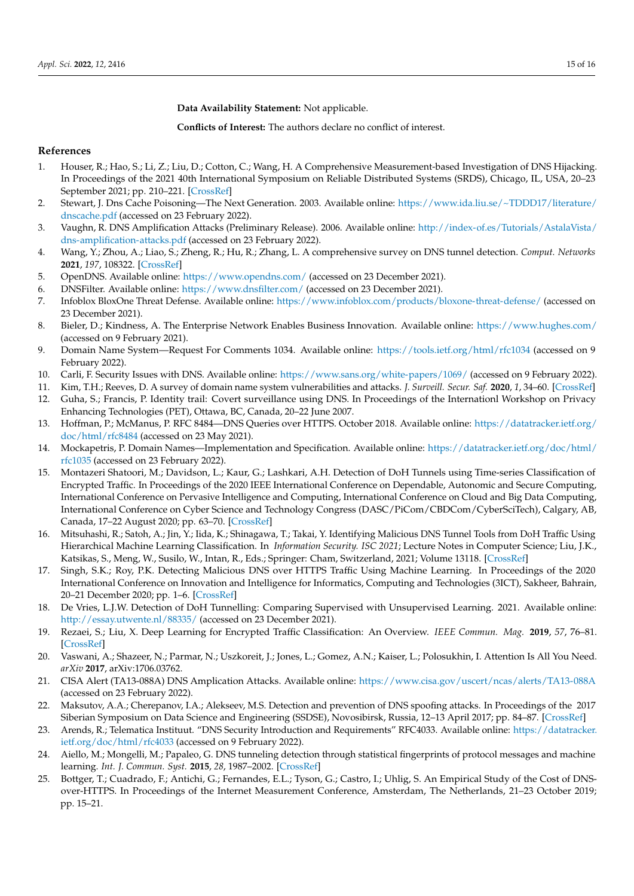**Data Availability Statement:** Not applicable.

**Conflicts of Interest:** The authors declare no conflict of interest.

## **References**

- <span id="page-14-0"></span>1. Houser, R.; Hao, S.; Li, Z.; Liu, D.; Cotton, C.; Wang, H. A Comprehensive Measurement-based Investigation of DNS Hijacking. In Proceedings of the 2021 40th International Symposium on Reliable Distributed Systems (SRDS), Chicago, IL, USA, 20–23 September 2021; pp. 210–221. [\[CrossRef\]](http://doi.org/10.1109/SRDS53918.2021.00029)
- <span id="page-14-1"></span>2. Stewart, J. Dns Cache Poisoning—The Next Generation. 2003. Available online: [https://www.ida.liu.se/~TDDD17/literature/](https://www.ida.liu.se/~TDDD17/literature/dnscache.pdf) [dnscache.pdf](https://www.ida.liu.se/~TDDD17/literature/dnscache.pdf) (accessed on 23 February 2022).
- <span id="page-14-2"></span>3. Vaughn, R. DNS Amplification Attacks (Preliminary Release). 2006. Available online: [http://index-of.es/Tutorials/AstalaVista/](http://index-of.es/Tutorials/AstalaVista/dns-amplification-attacks.pdf) [dns-amplification-attacks.pdf](http://index-of.es/Tutorials/AstalaVista/dns-amplification-attacks.pdf) (accessed on 23 February 2022).
- <span id="page-14-3"></span>4. Wang, Y.; Zhou, A.; Liao, S.; Zheng, R.; Hu, R.; Zhang, L. A comprehensive survey on DNS tunnel detection. *Comput. Networks* **2021**, *197*, 108322. [\[CrossRef\]](http://dx.doi.org/10.1016/j.comnet.2021.108322)
- <span id="page-14-4"></span>5. OpenDNS. Available online: <https://www.opendns.com/> (accessed on 23 December 2021).
- <span id="page-14-5"></span>6. DNSFilter. Available online: <https://www.dnsfilter.com/> (accessed on 23 December 2021).
- <span id="page-14-6"></span>7. Infoblox BloxOne Threat Defense. Available online: <https://www.infoblox.com/products/bloxone-threat-defense/> (accessed on 23 December 2021).
- <span id="page-14-7"></span>8. Bieler, D.; Kindness, A. The Enterprise Network Enables Business Innovation. Available online: <https://www.hughes.com/> (accessed on 9 February 2021).
- <span id="page-14-8"></span>9. Domain Name System—Request For Comments 1034. Available online: <https://tools.ietf.org/html/rfc1034> (accessed on 9 February 2022).
- 10. Carli, F. Security Issues with DNS. Available online: <https://www.sans.org/white-papers/1069/> (accessed on 9 February 2022).
- <span id="page-14-9"></span>11. Kim, T.H.; Reeves, D. A survey of domain name system vulnerabilities and attacks. *J. Surveill. Secur. Saf.* **2020**, *1*, 34–60. [\[CrossRef\]](http://dx.doi.org/10.20517/jsss.2020.14)
- <span id="page-14-10"></span>12. Guha, S.; Francis, P. Identity trail: Covert surveillance using DNS. In Proceedings of the Internationl Workshop on Privacy Enhancing Technologies (PET), Ottawa, BC, Canada, 20–22 June 2007.
- <span id="page-14-11"></span>13. Hoffman, P.; McManus, P. RFC 8484—DNS Queries over HTTPS. October 2018. Available online: [https://datatracker.ietf.org/](https://datatracker.ietf.org/doc/html/rfc8484) [doc/html/rfc8484](https://datatracker.ietf.org/doc/html/rfc8484) (accessed on 23 May 2021).
- <span id="page-14-12"></span>14. Mockapetris, P. Domain Names—Implementation and Specification. Available online: [https://datatracker.ietf.org/doc/html/](https://datatracker.ietf.org/doc/html/rfc1035) [rfc1035](https://datatracker.ietf.org/doc/html/rfc1035) (accessed on 23 February 2022).
- <span id="page-14-13"></span>15. Montazeri Shatoori, M.; Davidson, L.; Kaur, G.; Lashkari, A.H. Detection of DoH Tunnels using Time-series Classification of Encrypted Traffic. In Proceedings of the 2020 IEEE International Conference on Dependable, Autonomic and Secure Computing, International Conference on Pervasive Intelligence and Computing, International Conference on Cloud and Big Data Computing, International Conference on Cyber Science and Technology Congress (DASC/PiCom/CBDCom/CyberSciTech), Calgary, AB, Canada, 17–22 August 2020; pp. 63–70. [\[CrossRef\]](http://dx.doi.org/10.1109/DASC-PICom-CBDCom-CyberSciTech49142.2020.00026)
- <span id="page-14-23"></span>16. Mitsuhashi, R.; Satoh, A.; Jin, Y.; Iida, K.; Shinagawa, T.; Takai, Y. Identifying Malicious DNS Tunnel Tools from DoH Traffic Using Hierarchical Machine Learning Classification. In *Information Security. ISC 2021*; Lecture Notes in Computer Science; Liu, J.K., Katsikas, S., Meng, W., Susilo, W., Intan, R., Eds.; Springer: Cham, Switzerland, 2021; Volume 13118. [\[CrossRef\]](http://dx.doi.org/10.1007/978-3-030-91356-4_13)
- <span id="page-14-14"></span>17. Singh, S.K.; Roy, P.K. Detecting Malicious DNS over HTTPS Traffic Using Machine Learning. In Proceedings of the 2020 International Conference on Innovation and Intelligence for Informatics, Computing and Technologies (3ICT), Sakheer, Bahrain, 20–21 December 2020; pp. 1–6. [\[CrossRef\]](http://dx.doi.org/10.1109/3ICT51146.2020.9312004)
- <span id="page-14-15"></span>18. De Vries, L.J.W. Detection of DoH Tunnelling: Comparing Supervised with Unsupervised Learning. 2021. Available online: <http://essay.utwente.nl/88335/> (accessed on 23 December 2021).
- <span id="page-14-16"></span>19. Rezaei, S.; Liu, X. Deep Learning for Encrypted Traffic Classification: An Overview. *IEEE Commun. Mag.* **2019**, *57*, 76–81. [\[CrossRef\]](http://dx.doi.org/10.1109/MCOM.2019.1800819)
- <span id="page-14-17"></span>20. Vaswani, A.; Shazeer, N.; Parmar, N.; Uszkoreit, J.; Jones, L.; Gomez, A.N.; Kaiser, L.; Polosukhin, I. Attention Is All You Need. *arXiv* **2017**, arXiv:1706.03762.
- <span id="page-14-18"></span>21. CISA Alert (TA13-088A) DNS Amplication Attacks. Available online: <https://www.cisa.gov/uscert/ncas/alerts/TA13-088A> (accessed on 23 February 2022).
- <span id="page-14-19"></span>22. Maksutov, A.A.; Cherepanov, I.A.; Alekseev, M.S. Detection and prevention of DNS spoofing attacks. In Proceedings of the 2017 Siberian Symposium on Data Science and Engineering (SSDSE), Novosibirsk, Russia, 12–13 April 2017; pp. 84–87. [\[CrossRef\]](http://dx.doi.org/10.1109/SSDSE.2017.8071970)
- <span id="page-14-20"></span>23. Arends, R.; Telematica Instituut. "DNS Security Introduction and Requirements" RFC4033. Available online: [https://datatracker.](https://datatracker.ietf.org/doc/html/rfc4033) [ietf.org/doc/html/rfc4033](https://datatracker.ietf.org/doc/html/rfc4033) (accessed on 9 February 2022).
- <span id="page-14-21"></span>24. Aiello, M.; Mongelli, M.; Papaleo, G. DNS tunneling detection through statistical fingerprints of protocol messages and machine learning. *Int. J. Commun. Syst.* **2015**, *28*, 1987–2002. [\[CrossRef\]](http://dx.doi.org/10.1002/dac.2836)
- <span id="page-14-22"></span>25. Bottger, T.; Cuadrado, F.; Antichi, G.; Fernandes, E.L.; Tyson, G.; Castro, I.; Uhlig, S. An Empirical Study of the Cost of DNSover-HTTPS. In Proceedings of the Internet Measurement Conference, Amsterdam, The Netherlands, 21–23 October 2019; pp. 15–21.